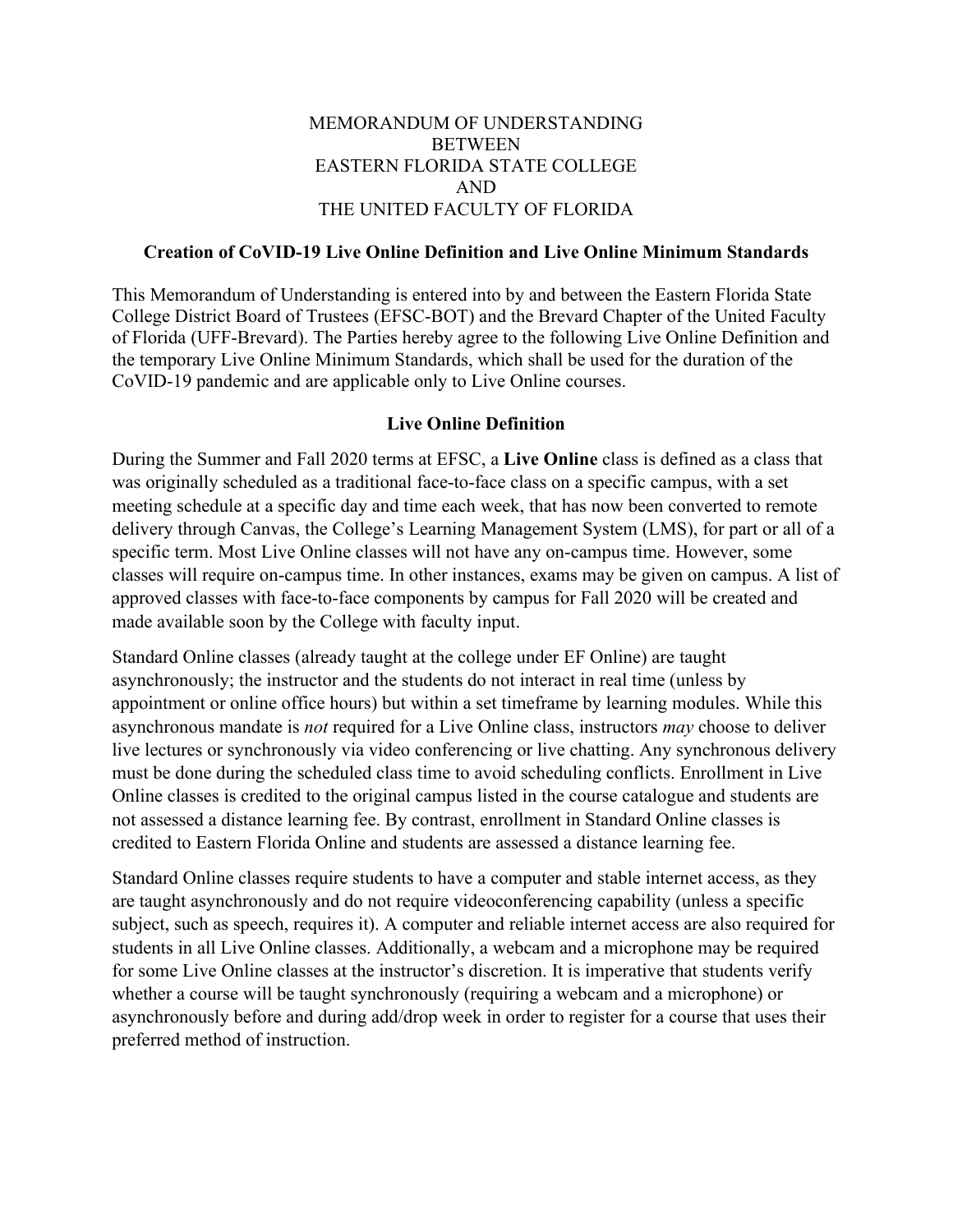#### MEMORANDUM OF UNDERSTANDING **BETWEEN** EASTERN FLORIDA STATE COLLEGE AND THE UNITED FACULTY OF FLORIDA

#### **Creation of CoVID-19 Live Online Definition and Live Online Minimum Standards**

This Memorandum of Understanding is entered into by and between the Eastern Florida State College District Board of Trustees (EFSC-BOT) and the Brevard Chapter of the United Faculty of Florida (UFF-Brevard). The Parties hereby agree to the following Live Online Definition and the temporary Live Online Minimum Standards, which shall be used for the duration of the CoVID-19 pandemic and are applicable only to Live Online courses.

#### **Live Online Definition**

During the Summer and Fall 2020 terms at EFSC, a **Live Online** class is defined as a class that was originally scheduled as a traditional face-to-face class on a specific campus, with a set meeting schedule at a specific day and time each week, that has now been converted to remote delivery through Canvas, the College's Learning Management System (LMS), for part or all of a specific term. Most Live Online classes will not have any on-campus time. However, some classes will require on-campus time. In other instances, exams may be given on campus. A list of approved classes with face-to-face components by campus for Fall 2020 will be created and made available soon by the College with faculty input.

Standard Online classes (already taught at the college under EF Online) are taught asynchronously; the instructor and the students do not interact in real time (unless by appointment or online office hours) but within a set timeframe by learning modules. While this asynchronous mandate is *not* required for a Live Online class, instructors *may* choose to deliver live lectures or synchronously via video conferencing or live chatting. Any synchronous delivery must be done during the scheduled class time to avoid scheduling conflicts. Enrollment in Live Online classes is credited to the original campus listed in the course catalogue and students are not assessed a distance learning fee. By contrast, enrollment in Standard Online classes is credited to Eastern Florida Online and students are assessed a distance learning fee.

Standard Online classes require students to have a computer and stable internet access, as they are taught asynchronously and do not require videoconferencing capability (unless a specific subject, such as speech, requires it). A computer and reliable internet access are also required for students in all Live Online classes. Additionally, a webcam and a microphone may be required for some Live Online classes at the instructor's discretion. It is imperative that students verify whether a course will be taught synchronously (requiring a webcam and a microphone) or asynchronously before and during add/drop week in order to register for a course that uses their preferred method of instruction.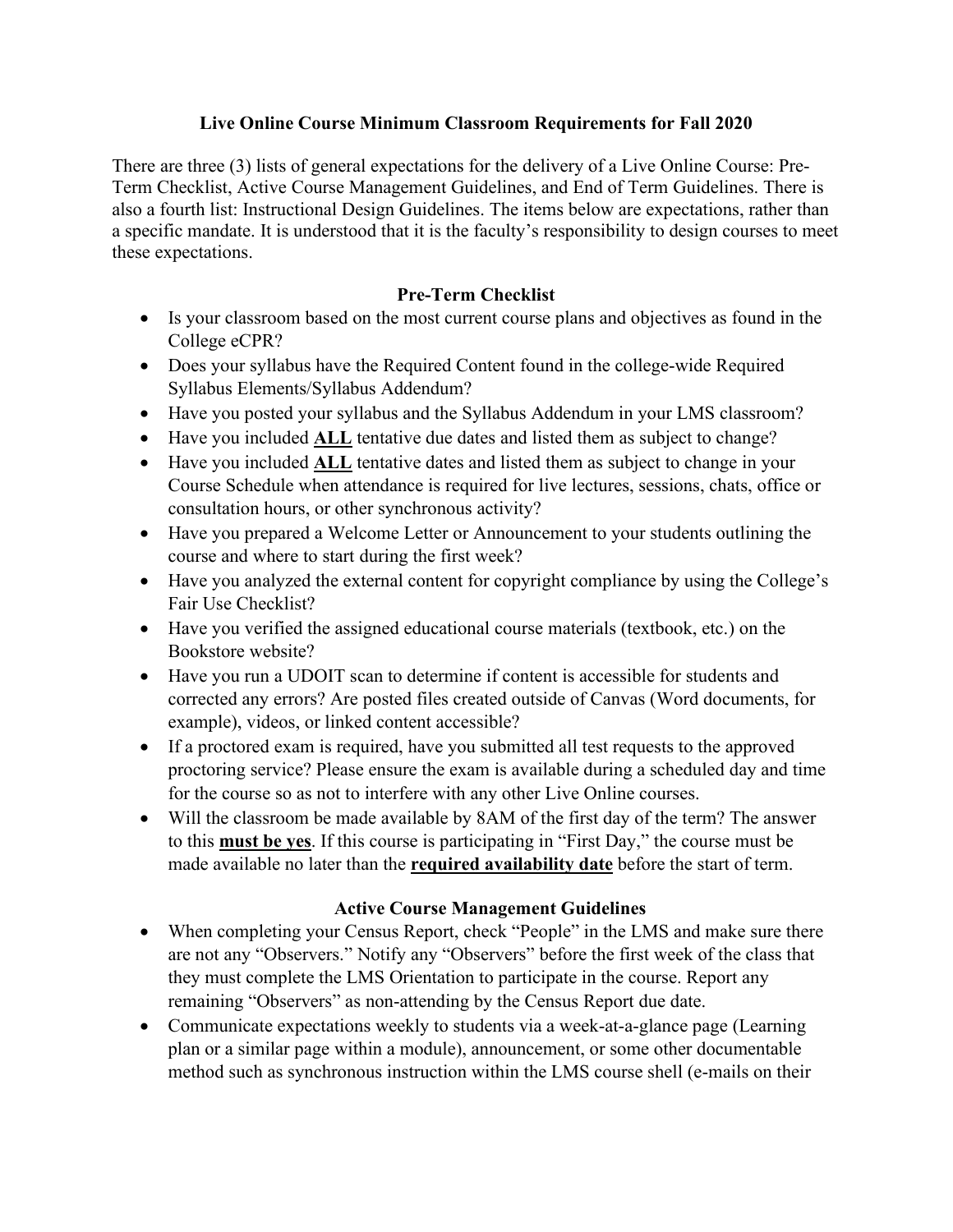#### **Live Online Course Minimum Classroom Requirements for Fall 2020**

There are three (3) lists of general expectations for the delivery of a Live Online Course: Pre-Term Checklist, Active Course Management Guidelines, and End of Term Guidelines. There is also a fourth list: Instructional Design Guidelines. The items below are expectations, rather than a specific mandate. It is understood that it is the faculty's responsibility to design courses to meet these expectations.

# **Pre-Term Checklist**

- Is your classroom based on the most current course plans and objectives as found in the College eCPR?
- Does your syllabus have the Required Content found in the college-wide Required Syllabus Elements/Syllabus Addendum?
- Have you posted your syllabus and the Syllabus Addendum in your LMS classroom?
- Have you included **ALL** tentative due dates and listed them as subject to change?
- Have you included **ALL** tentative dates and listed them as subject to change in your Course Schedule when attendance is required for live lectures, sessions, chats, office or consultation hours, or other synchronous activity?
- Have you prepared a Welcome Letter or Announcement to your students outlining the course and where to start during the first week?
- Have you analyzed the external content for copyright compliance by using the College's Fair Use Checklist?
- Have you verified the assigned educational course materials (textbook, etc.) on the Bookstore website?
- Have you run a UDOIT scan to determine if content is accessible for students and corrected any errors? Are posted files created outside of Canvas (Word documents, for example), videos, or linked content accessible?
- If a proctored exam is required, have you submitted all test requests to the approved proctoring service? Please ensure the exam is available during a scheduled day and time for the course so as not to interfere with any other Live Online courses.
- Will the classroom be made available by 8AM of the first day of the term? The answer to this **must be yes**. If this course is participating in "First Day," the course must be made available no later than the **required availability date** before the start of term.

# **Active Course Management Guidelines**

- When completing your Census Report, check "People" in the LMS and make sure there are not any "Observers." Notify any "Observers" before the first week of the class that they must complete the LMS Orientation to participate in the course. Report any remaining "Observers" as non-attending by the Census Report due date.
- Communicate expectations weekly to students via a week-at-a-glance page (Learning plan or a similar page within a module), announcement, or some other documentable method such as synchronous instruction within the LMS course shell (e-mails on their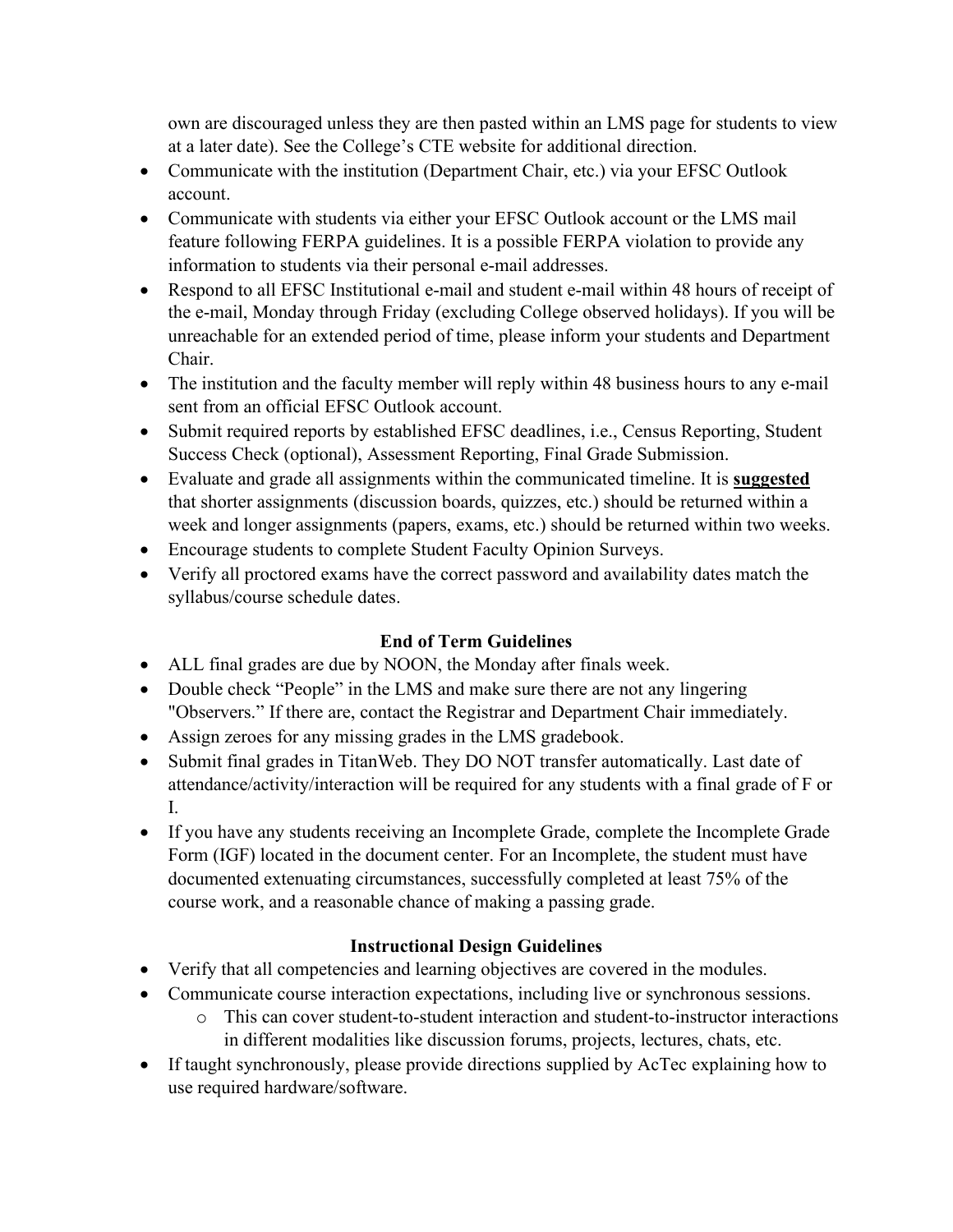own are discouraged unless they are then pasted within an LMS page for students to view at a later date). See the College's CTE website for additional direction.

- Communicate with the institution (Department Chair, etc.) via your EFSC Outlook account.
- Communicate with students via either your EFSC Outlook account or the LMS mail feature following FERPA guidelines. It is a possible FERPA violation to provide any information to students via their personal e-mail addresses.
- Respond to all EFSC Institutional e-mail and student e-mail within 48 hours of receipt of the e-mail, Monday through Friday (excluding College observed holidays). If you will be unreachable for an extended period of time, please inform your students and Department Chair.
- The institution and the faculty member will reply within 48 business hours to any e-mail sent from an official EFSC Outlook account.
- Submit required reports by established EFSC deadlines, i.e., Census Reporting, Student Success Check (optional), Assessment Reporting, Final Grade Submission.
- Evaluate and grade all assignments within the communicated timeline. It is **suggested** that shorter assignments (discussion boards, quizzes, etc.) should be returned within a week and longer assignments (papers, exams, etc.) should be returned within two weeks.
- Encourage students to complete Student Faculty Opinion Surveys.
- Verify all proctored exams have the correct password and availability dates match the syllabus/course schedule dates.

# **End of Term Guidelines**

- ALL final grades are due by NOON, the Monday after finals week.
- Double check "People" in the LMS and make sure there are not any lingering "Observers." If there are, contact the Registrar and Department Chair immediately.
- Assign zeroes for any missing grades in the LMS gradebook.
- Submit final grades in TitanWeb. They DO NOT transfer automatically. Last date of attendance/activity/interaction will be required for any students with a final grade of F or I.
- If you have any students receiving an Incomplete Grade, complete the Incomplete Grade Form (IGF) located in the document center. For an Incomplete, the student must have documented extenuating circumstances, successfully completed at least 75% of the course work, and a reasonable chance of making a passing grade.

# **Instructional Design Guidelines**

- Verify that all competencies and learning objectives are covered in the modules.
- Communicate course interaction expectations, including live or synchronous sessions.
	- o This can cover student-to-student interaction and student-to-instructor interactions in different modalities like discussion forums, projects, lectures, chats, etc.
- If taught synchronously, please provide directions supplied by AcTec explaining how to use required hardware/software.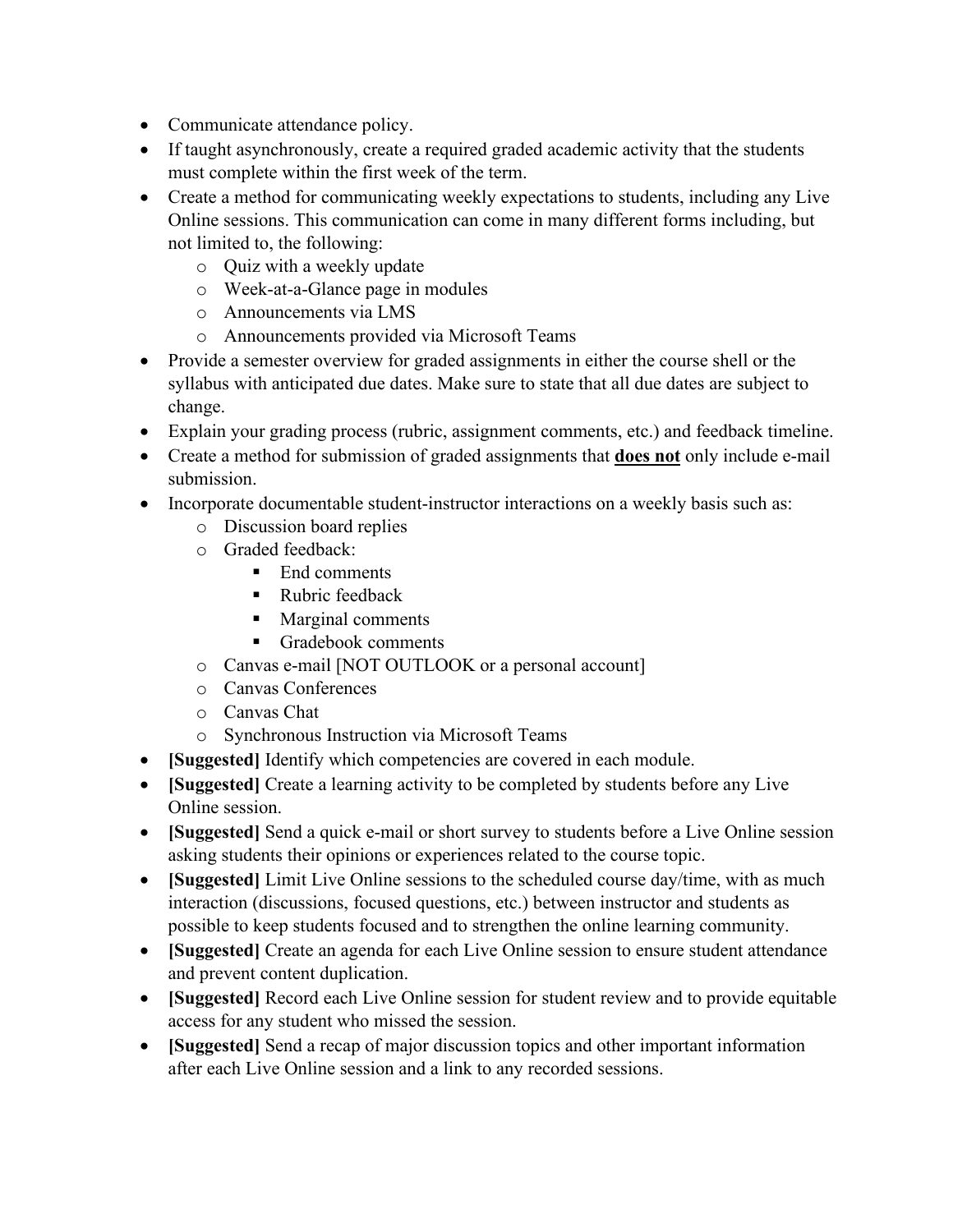- Communicate attendance policy.
- If taught asynchronously, create a required graded academic activity that the students must complete within the first week of the term.
- Create a method for communicating weekly expectations to students, including any Live Online sessions. This communication can come in many different forms including, but not limited to, the following:
	- o Quiz with a weekly update
	- o Week-at-a-Glance page in modules
	- o Announcements via LMS
	- o Announcements provided via Microsoft Teams
- Provide a semester overview for graded assignments in either the course shell or the syllabus with anticipated due dates. Make sure to state that all due dates are subject to change.
- Explain your grading process (rubric, assignment comments, etc.) and feedback timeline.
- Create a method for submission of graded assignments that **does not** only include e-mail submission.
- Incorporate documentable student-instructor interactions on a weekly basis such as:
	- o Discussion board replies
	- o Graded feedback:
		- End comments
		- Rubric feedback
		- **Marginal comments**
		- Gradebook comments
	- o Canvas e-mail [NOT OUTLOOK or a personal account]
	- o Canvas Conferences
	- o Canvas Chat
	- o Synchronous Instruction via Microsoft Teams
- **[Suggested]** Identify which competencies are covered in each module.
- **[Suggested]** Create a learning activity to be completed by students before any Live Online session.
- **[Suggested]** Send a quick e-mail or short survey to students before a Live Online session asking students their opinions or experiences related to the course topic.
- **[Suggested]** Limit Live Online sessions to the scheduled course day/time, with as much interaction (discussions, focused questions, etc.) between instructor and students as possible to keep students focused and to strengthen the online learning community.
- **[Suggested]** Create an agenda for each Live Online session to ensure student attendance and prevent content duplication.
- **[Suggested]** Record each Live Online session for student review and to provide equitable access for any student who missed the session.
- **[Suggested]** Send a recap of major discussion topics and other important information after each Live Online session and a link to any recorded sessions.